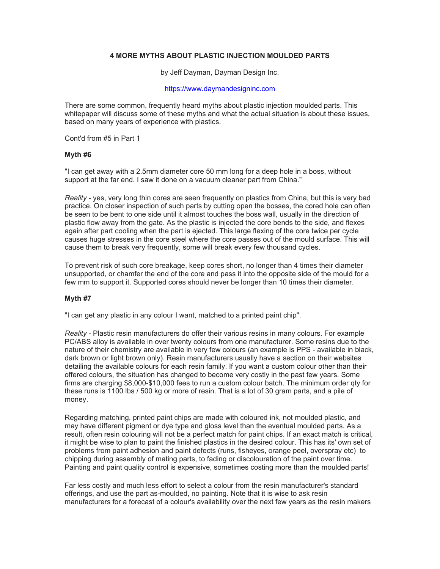# **4 MORE MYTHS ABOUT PLASTIC INJECTION MOULDED PARTS**

by Jeff Dayman, Dayman Design Inc.

#### [https://www.daymandesigninc.com](https://www.daymandesigninc.com/)

There are some common, frequently heard myths about plastic injection moulded parts. This whitepaper will discuss some of these myths and what the actual situation is about these issues, based on many years of experience with plastics.

Cont'd from #5 in Part 1

### **Myth #6**

"I can get away with a 2.5mm diameter core 50 mm long for a deep hole in a boss, without support at the far end. I saw it done on a vacuum cleaner part from China."

*Reality* - yes, very long thin cores are seen frequently on plastics from China, but this is very bad practice. On closer inspection of such parts by cutting open the bosses, the cored hole can often be seen to be bent to one side until it almost touches the boss wall, usually in the direction of plastic flow away from the gate. As the plastic is injected the core bends to the side, and flexes again after part cooling when the part is ejected. This large flexing of the core twice per cycle causes huge stresses in the core steel where the core passes out of the mould surface. This will cause them to break very frequently, some will break every few thousand cycles.

To prevent risk of such core breakage, keep cores short, no longer than 4 times their diameter unsupported, or chamfer the end of the core and pass it into the opposite side of the mould for a few mm to support it. Supported cores should never be longer than 10 times their diameter.

### **Myth #7**

"I can get any plastic in any colour I want, matched to a printed paint chip".

*Reality* - Plastic resin manufacturers do offer their various resins in many colours. For example PC/ABS alloy is available in over twenty colours from one manufacturer. Some resins due to the nature of their chemistry are available in very few colours (an example is PPS - available in black, dark brown or light brown only). Resin manufacturers usually have a section on their websites detailing the available colours for each resin family. If you want a custom colour other than their offered colours, the situation has changed to become very costly in the past few years. Some firms are charging \$8,000-\$10,000 fees to run a custom colour batch. The minimum order qty for these runs is 1100 lbs / 500 kg or more of resin. That is a lot of 30 gram parts, and a pile of money.

Regarding matching, printed paint chips are made with coloured ink, not moulded plastic, and may have different pigment or dye type and gloss level than the eventual moulded parts. As a result, often resin colouring will not be a perfect match for paint chips. If an exact match is critical, it might be wise to plan to paint the finished plastics in the desired colour. This has its' own set of problems from paint adhesion and paint defects (runs, fisheyes, orange peel, overspray etc) to chipping during assembly of mating parts, to fading or discolouration of the paint over time. Painting and paint quality control is expensive, sometimes costing more than the moulded parts!

Far less costly and much less effort to select a colour from the resin manufacturer's standard offerings, and use the part as-moulded, no painting. Note that it is wise to ask resin manufacturers for a forecast of a colour's availability over the next few years as the resin makers